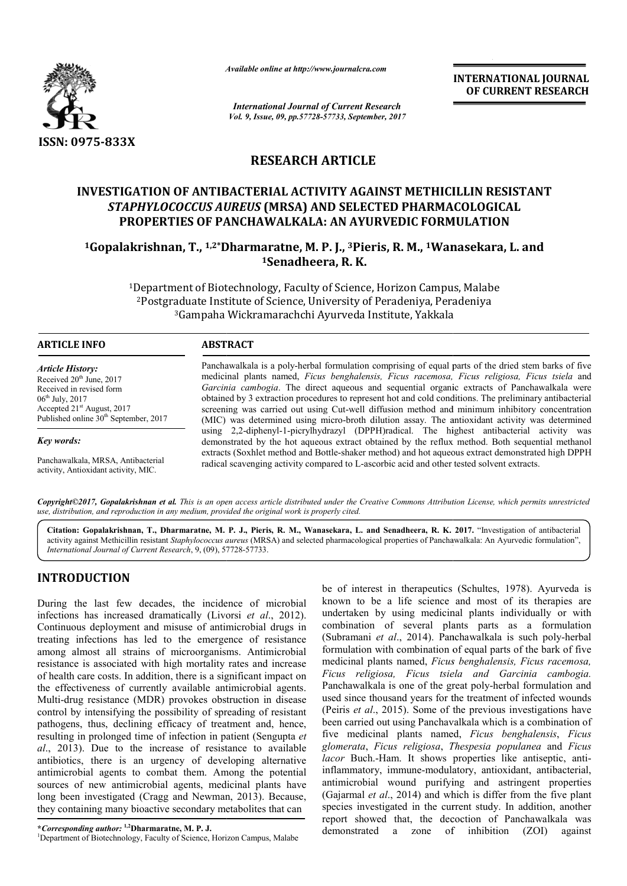

*Available online at http://www.journalcra.com*

*International Journal of Current Research Vol. 9, Issue, 09, pp.57728-57733, September, 2017* **INTERNATIONAL JOURNAL OF CURRENT RESEARCH**

# **RESEARCH ARTICLE**

# **INVESTIGATION OF ANTIBACTERIAL ACTIVITY AGAINST METHICILLIN RESISTANT**  *STAPHYLOCOCCUS AUREUS* **(MRSA) AND SELECTED PHARMACOLOGICAL PROPERTIES OF PANCHAWALKALA: AN AYURVEDIC FORMULATION 1GOPALARY ISLAMARY CONTRIBATION OF ANTIBACTERIAL ACTIVITY AGAINST METHICILLIN RESISTAN'<br>1Gopalakrishnan, T., <sup>1,2\*</sup>Dharmaratne, M. P. J., <sup>3</sup>Pieris, R. M., <sup>1</sup>Wanasekara, L. and<br><sup>1</sup>Gopalakrishnan, T., <sup>1,2\*</sup>Dharmaratne, M**

**1Senadheera, R. K.**

<sup>1</sup>Department of Biotechnology, Faculty of Science, Horizon Campus, Malabe<br><sup>2</sup>Postgraduate Institute of Science, University of Peradeniya, Peradeniya 2Postgraduate Institute of Science, University of Peradeniya, 3Gampaha Wickramarachchi Ayurveda Institute, Yakkala Gampaha

# **ARTICLE INFO ABSTRACT**

*Article History:* Received 20<sup>th</sup> June, 2017 Received in revised form  $06^{th}$  July, 2017 Accepted 21st August, 2017 Published online 30<sup>th</sup> September, 2017

*Key words:*

Panchawalkala, MRSA, Antibacterial activity, Antioxidant activity, MIC.

Panchawalkala is a poly-herbal formulation comprising of equal parts of the dried stem barks of five medicinal plants named, *Ficus benghalensis, Ficus racemosa, Ficus Ficus religiosa, Ficus tsiela* and *Garcinia cambogia* . The direct aqueous and sequential organic extracts of Panchawalkala were obtained by 3 extraction procedures to represent hot and cold conditions. The preliminary antibacterial screening was carried out using Cut-well diffusion method and minimum inhibitory concentration (MIC) was determined using micro-broth dilution assay. The antioxidant activity was determined using 2,2-diphenyl-1-picrylhydrazyl (DPPH)radical. The highest antibacterial activity was demonstr demonstrated by the hot aqueous extract obtained by the reflux method. Both sequential methanol extracts (Soxhlet method and Bottle-shaker method) and hot aqueous extract demonstrated high DPPH radical scavenging activity compared to L L-ascorbic acid and other test Garcinia cambogia. The direct aqueous and sequential organic extracts of Panchawalkala<br>obtained by 3 extraction procedures to represent hot and cold conditions. The preliminary antibac<br>screening was carried out using Cut-w

Copyright©2017, Gopalakrishnan et al. This is an open access article distributed under the Creative Commons Attribution License, which permits unrestricted *use, distribution, and reproduction in any medium, provided the original work is properly cited.*

**Citation: Gopalakrishnan, T., Dharmaratne, M. P. J., Pieris, R. M., Wanasekara, L. and Senadheera, R. K. 2017.** "Investigation of antibacterial activity against Methicillin resistant Staphylococcus aureus (MRSA) and selected pharmacological properties of Panchawalkala: An Ayurvedic formulation", International Journal of Current Research 9 (09) 57728-57733 *International Journal of Current Research*, 9, (09), 577 57728-57733.

# **INTRODUCTION**

During the last few decades, the incidence of microbial infections has increased dramatically (Livorsi Livorsi *et al*., 2012). Continuous deployment and misuse of antimicrobial drugs in treating infections has led to the emergence of resistance among almost all strains of microorganisms. Antimicrobial resistance is associated with high mortality rates and increase of health care costs. In addition, there is a significant impact on the effectiveness of currently available antimicrobial agents. Multi-drug resistance (MDR) provokes obstruction in disease control by intensifying the possibility of spreading of resistant pathogens, thus, declining efficacy of treatment and, hence, resulting in prolonged time of infection in patient (Sengupta et *al*., 2013). Due to the increase of resistance to available antibiotics, there is an urgency of developing alternative antimicrobial agents to combat them. Among the potential sources of new antimicrobial agents, medicinal plants have long been investigated (Cragg and Newman, 2013). Because, they containing many bioactive secondary metabolites that can ains of microorganisms. Antimicrobial<br>d with high mortality rates and increase<br>addition, there is a significant impact on<br>currently available antimicrobial agents.<br>(MDR) provokes obstruction in disease<br>t the possibility of ease of resistance to available<br>ency of developing alternative<br>bat them. Among the potential<br>1 agents, medicinal plants have<br>g and Newman, 2013). Because, is a same of Current Research, 9, (09), 57728-57733.<br> **EXECUTE ALCON**<br> **EXECUTE ALCONSTANTS (CONSTANTS)** and stated in<br>
antional Journal of Current Research, 9, (09), 57728-57733.<br> **EXECUTE ALCONS**<br> **EXECUTED ALCONS**<br> **EX** 

<sup>1</sup>Department of Biotechnology, Faculty of Science, Horizon Campus, Malabe

be of interest in therapeutics (Schultes, 1978). Ayurveda is known to be a life science and most of its therapies are undertaken by using medicinal plants individually or with combination of several plants parts as a formulation known to be a life science and most of its therapies are undertaken by using medicinal plants individually or with combination of several plants parts as a formulation (Subramani *et al.*, 2014). Panchawalkala is such poly formulation with combination of equal parts of the bark of five medicinal plants named, *Ficus benghalensis, Ficus racemosa, Ficus religiosa, Ficus tsiela and Garcinia cambogia. Ficus religiosa, Ficus* Panchawalkala is one of the great poly-herbal formulation and used since thousand years for the treatment of infected wounds used since thousand years for the treatment of infected wounds (Peiris *et al.*, 2015). Some of the previous investigations have been carried out using Panchavalkala which is a combination of been carried out using Panchavalkala which is a combination of five medicinal plants named, *Ficus benghalensis*, *Ficus glomerata*, *Ficus religiosa*, *Thespesia populanea* and *Ficus*  lacor Buch.-Ham. It shows properties like antiseptic, antiinflammatory, immune-modulatory, antioxidant, antibacterial, antimicrobial wound purifying and astringent properties (Gajarmal *et al*., 2014) and which is differ from the five plant species investigated in the current study. In addition, another antimicrobial wound purifying and astringent properties (Gajarmal *et al.*, 2014) and which is differ from the five plant species investigated in the current study. In addition, another report showed that, the decoction of demonstrated a zone of inhibition (ZOI) against **NAL JOURNAL**<br> **NAL JOURNAL**<br> **NAL JOURNAL**<br> **TRESEARCH**<br> **TRESEARCH**<br> **TRESEARCH**<br> **TRESEARCH**<br> **EXECUTE ANT**<br> **CONT**<br> **CONT**<br> **CONT**<br> **CONT**<br> **CONT**<br> **CONT**<br> **CONT**<br> **CONT**<br> **CONT**<br> **CONTE ANT**<br> **CONT**<br> **CONTE ANT**<br> **CON** 

**<sup>\*</sup>***Corresponding author:* **1,2Dharmaratne, M. P. J.** <sup>1</sup>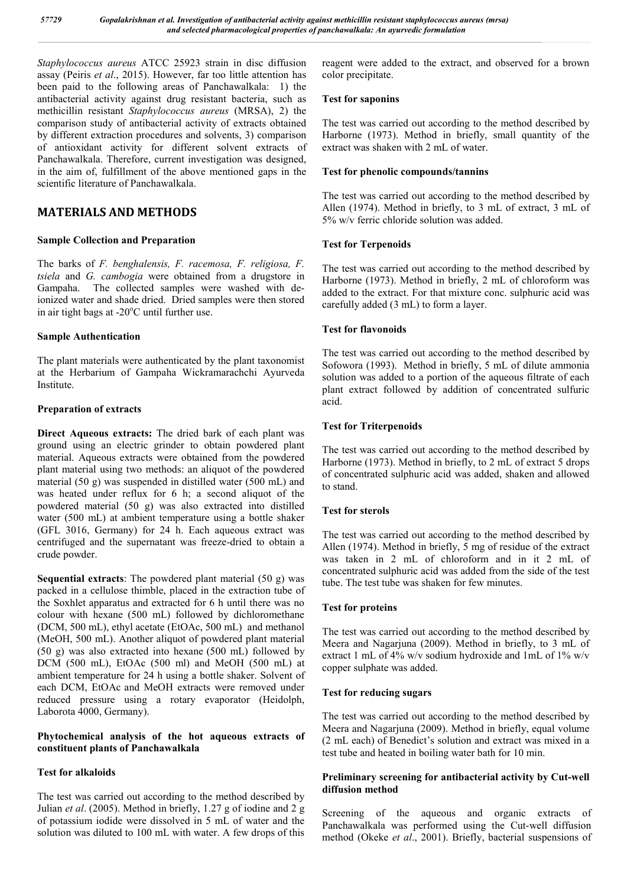*Staphylococcus aureus* ATCC 25923 strain in disc diffusion assay (Peiris *et al*., 2015). However, far too little attention has been paid to the following areas of Panchawalkala: 1) the antibacterial activity against drug resistant bacteria, such as methicillin resistant *Staphylococcus aureus* (MRSA), 2) the comparison study of antibacterial activity of extracts obtained by different extraction procedures and solvents, 3) comparison of antioxidant activity for different solvent extracts of Panchawalkala. Therefore, current investigation was designed, in the aim of, fulfillment of the above mentioned gaps in the scientific literature of Panchawalkala.

# **MATERIALS AND METHODS**

# **Sample Collection and Preparation**

The barks of *F. benghalensis, F. racemosa, F. religiosa, F. tsiela* and *G. cambogia* were obtained from a drugstore in Gampaha. The collected samples were washed with deionized water and shade dried. Dried samples were then stored in air tight bags at -20°C until further use.

# **Sample Authentication**

The plant materials were authenticated by the plant taxonomist at the Herbarium of Gampaha Wickramarachchi Ayurveda Institute.

# **Preparation of extracts**

**Direct Aqueous extracts:** The dried bark of each plant was ground using an electric grinder to obtain powdered plant material. Aqueous extracts were obtained from the powdered plant material using two methods: an aliquot of the powdered material (50 g) was suspended in distilled water (500 mL) and was heated under reflux for 6 h; a second aliquot of the powdered material (50 g) was also extracted into distilled water (500 mL) at ambient temperature using a bottle shaker (GFL 3016, Germany) for 24 h. Each aqueous extract was centrifuged and the supernatant was freeze-dried to obtain a crude powder.

**Sequential extracts**: The powdered plant material (50 g) was packed in a cellulose thimble, placed in the extraction tube of the Soxhlet apparatus and extracted for 6 h until there was no colour with hexane (500 mL) followed by dichloromethane (DCM, 500 mL), ethyl acetate (EtOAc, 500 mL) and methanol (MeOH, 500 mL). Another aliquot of powdered plant material (50 g) was also extracted into hexane (500 mL) followed by DCM (500 mL), EtOAc (500 ml) and MeOH (500 mL) at ambient temperature for 24 h using a bottle shaker. Solvent of each DCM, EtOAc and MeOH extracts were removed under reduced pressure using a rotary evaporator (Heidolph, Laborota 4000, Germany).

# **Phytochemical analysis of the hot aqueous extracts of constituent plants of Panchawalkala**

# **Test for alkaloids**

The test was carried out according to the method described by Julian *et al*. (2005). Method in briefly, 1.27 g of iodine and 2 g of potassium iodide were dissolved in 5 mL of water and the solution was diluted to 100 mL with water. A few drops of this reagent were added to the extract, and observed for a brown color precipitate.

# **Test for saponins**

The test was carried out according to the method described by Harborne (1973). Method in briefly, small quantity of the extract was shaken with 2 mL of water.

# **Test for phenolic compounds/tannins**

The test was carried out according to the method described by Allen (1974). Method in briefly, to 3 mL of extract, 3 mL of 5% w/v ferric chloride solution was added.

# **Test for Terpenoids**

The test was carried out according to the method described by Harborne (1973). Method in briefly, 2 mL of chloroform was added to the extract. For that mixture conc. sulphuric acid was carefully added (3 mL) to form a layer.

# **Test for flavonoids**

The test was carried out according to the method described by Sofowora (1993). Method in briefly, 5 mL of dilute ammonia solution was added to a portion of the aqueous filtrate of each plant extract followed by addition of concentrated sulfuric acid.

# **Test for Triterpenoids**

The test was carried out according to the method described by Harborne (1973). Method in briefly, to 2 mL of extract 5 drops of concentrated sulphuric acid was added, shaken and allowed to stand.

# **Test for sterols**

The test was carried out according to the method described by Allen (1974). Method in briefly, 5 mg of residue of the extract was taken in 2 mL of chloroform and in it 2 mL of concentrated sulphuric acid was added from the side of the test tube. The test tube was shaken for few minutes.

#### **Test for proteins**

The test was carried out according to the method described by Meera and Nagarjuna (2009). Method in briefly, to 3 mL of extract 1 mL of 4% w/v sodium hydroxide and 1 mL of 1% w/v copper sulphate was added.

#### **Test for reducing sugars**

The test was carried out according to the method described by Meera and Nagarjuna (2009). Method in briefly, equal volume (2 mL each) of Benedict's solution and extract was mixed in a test tube and heated in boiling water bath for 10 min.

# **Preliminary screening for antibacterial activity by Cut-well diffusion method**

Screening of the aqueous and organic extracts of Panchawalkala was performed using the Cut-well diffusion method (Okeke *et al*., 2001). Briefly, bacterial suspensions of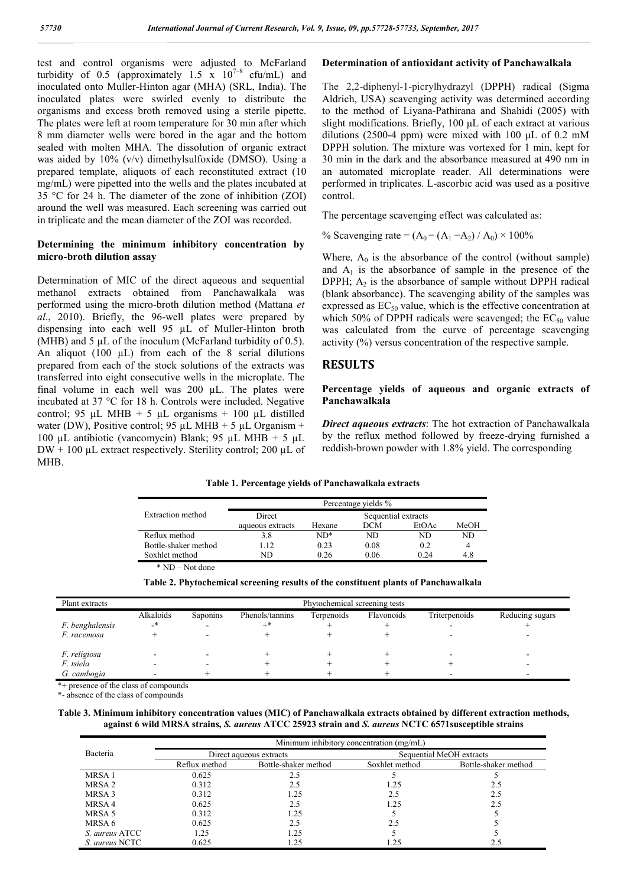test and control organisms were adjusted to McFarland turbidity of 0.5 (approximately 1.5  $\bar{x}$  10<sup>7-8</sup> cfu/mL) and inoculated onto Muller-Hinton agar (MHA) (SRL, India). The inoculated plates were swirled evenly to distribute the organisms and excess broth removed using a sterile pipette. The plates were left at room temperature for 30 min after which 8 mm diameter wells were bored in the agar and the bottom sealed with molten MHA. The dissolution of organic extract was aided by 10% (v/v) dimethylsulfoxide (DMSO). Using a prepared template, aliquots of each reconstituted extract (10 mg/mL) were pipetted into the wells and the plates incubated at 35 °C for 24 h. The diameter of the zone of inhibition (ZOI) around the well was measured. Each screening was carried out in triplicate and the mean diameter of the ZOI was recorded.

#### **Determining the minimum inhibitory concentration by micro-broth dilution assay**

Determination of MIC of the direct aqueous and sequential methanol extracts obtained from Panchawalkala was performed using the micro-broth dilution method (Mattana *et al*., 2010). Briefly, the 96-well plates were prepared by dispensing into each well 95 µL of Muller-Hinton broth (MHB) and  $5 \mu L$  of the inoculum (McFarland turbidity of 0.5). An aliquot  $(100 \mu L)$  from each of the 8 serial dilutions prepared from each of the stock solutions of the extracts was transferred into eight consecutive wells in the microplate. The final volume in each well was  $200 \mu L$ . The plates were incubated at 37 °C for 18 h. Controls were included. Negative control; 95 µL MHB + 5 µL organisms + 100 µL distilled water (DW), Positive control; 95 µL MHB + 5 µL Organism + 100 µL antibiotic (vancomycin) Blank; 95 µL MHB + 5 µL  $DW + 100 \mu L$  extract respectively. Sterility control; 200  $\mu L$  of MHB.

#### **Determination of antioxidant activity of Panchawalkala**

The 2,2-diphenyl-1-picrylhydrazyl (DPPH) radical (Sigma Aldrich, USA) scavenging activity was determined according to the method of Liyana-Pathirana and Shahidi (2005) with slight modifications. Briefly, 100 μL of each extract at various dilutions (2500-4 ppm) were mixed with 100 μL of 0.2 mM DPPH solution. The mixture was vortexed for 1 min, kept for 30 min in the dark and the absorbance measured at 490 nm in an automated microplate reader. All determinations were performed in triplicates. L-ascorbic acid was used as a positive control.

The percentage scavenging effect was calculated as:

% Scavenging rate =  $(A_0 - (A_1 - A_2) / A_0) \times 100\%$ 

Where,  $A_0$  is the absorbance of the control (without sample) and  $A_1$  is the absorbance of sample in the presence of the DPPH;  $A_2$  is the absorbance of sample without DPPH radical (blank absorbance). The scavenging ability of the samples was expressed as  $EC_{50}$  value, which is the effective concentration at which 50% of DPPH radicals were scavenged; the  $EC_{50}$  value was calculated from the curve of percentage scavenging activity (%) versus concentration of the respective sample.

# **RESULTS**

#### **Percentage yields of aqueous and organic extracts of Panchawalkala**

*Direct aqueous extracts*: The hot extraction of Panchawalkala by the reflux method followed by freeze-drying furnished a reddish-brown powder with 1.8% yield. The corresponding

#### **Table 1. Percentage yields of Panchawalkala extracts**

|                                | Percentage yields % |                     |            |       |      |  |
|--------------------------------|---------------------|---------------------|------------|-------|------|--|
| Extraction method              | Direct              | Sequential extracts |            |       |      |  |
|                                | aqueous extracts    | Hexane              | <b>DCM</b> | EtOAc | MeOH |  |
| Reflux method                  | 3.8                 | ND*                 | ND         | ND.   | ND.  |  |
| Bottle-shaker method           | 12                  | 0.23                | 0.08       | 0.2   | 4    |  |
| Soxhlet method                 | ND                  | 0.26                | 0.06       | 0.24  | 4.8  |  |
| $N_{\alpha t}$ dang<br>$*$ NID |                     |                     |            |       |      |  |

\* ND – Not done

| Table 2. Phytochemical screening results of the constituent plants of Panchawalkala |  |  |  |
|-------------------------------------------------------------------------------------|--|--|--|
|-------------------------------------------------------------------------------------|--|--|--|

| Plant extracts  | Phytochemical screening tests |          |                 |            |            |               |                 |
|-----------------|-------------------------------|----------|-----------------|------------|------------|---------------|-----------------|
|                 | Alkaloids                     | Saponins | Phenols/tannins | Terpenoids | Flavonoids | Triterpenoids | Reducing sugars |
| F. benghalensis | _*                            |          |                 |            |            |               |                 |
| F. racemosa     |                               |          |                 |            |            |               |                 |
| F. religiosa    |                               |          |                 |            |            |               |                 |
| F. tsiela       |                               |          |                 |            |            |               |                 |
| G. cambogia     |                               |          |                 |            |            |               |                 |

\*+ presence of the class of compounds

\*- absence of the class of compounds

**Table 3. Minimum inhibitory concentration values (MIC) of Panchawalkala extracts obtained by different extraction methods, against 6 wild MRSA strains,** *S. aureus* **ATCC 25923 strain and** *S. aureus* **NCTC 6571susceptible strains**

|                       | Minimum inhibitory concentration (mg/mL) |                         |                          |                      |  |  |
|-----------------------|------------------------------------------|-------------------------|--------------------------|----------------------|--|--|
| Bacteria              |                                          | Direct aqueous extracts | Sequential MeOH extracts |                      |  |  |
|                       | Reflux method                            | Bottle-shaker method    | Soxhlet method           | Bottle-shaker method |  |  |
| MRSA 1                | 0.625                                    | 2.5                     |                          |                      |  |  |
| MRSA 2                | 0.312                                    | 2.5                     | 1.25                     |                      |  |  |
| MRSA 3                | 0.312                                    | 1.25                    | 2.5                      | 2.5                  |  |  |
| MRSA 4                | 0.625                                    | 2.5                     | 1.25                     | 2.5                  |  |  |
| MRSA 5                | 0.312                                    | 1.25                    |                          |                      |  |  |
| MRSA 6                | 0.625                                    | 2.5                     | 2.5                      |                      |  |  |
| <i>S. aureus</i> ATCC | 1.25                                     | 1.25                    |                          |                      |  |  |
| <i>S. aureus</i> NCTC | 0.625                                    | 1.25                    | 1.25                     |                      |  |  |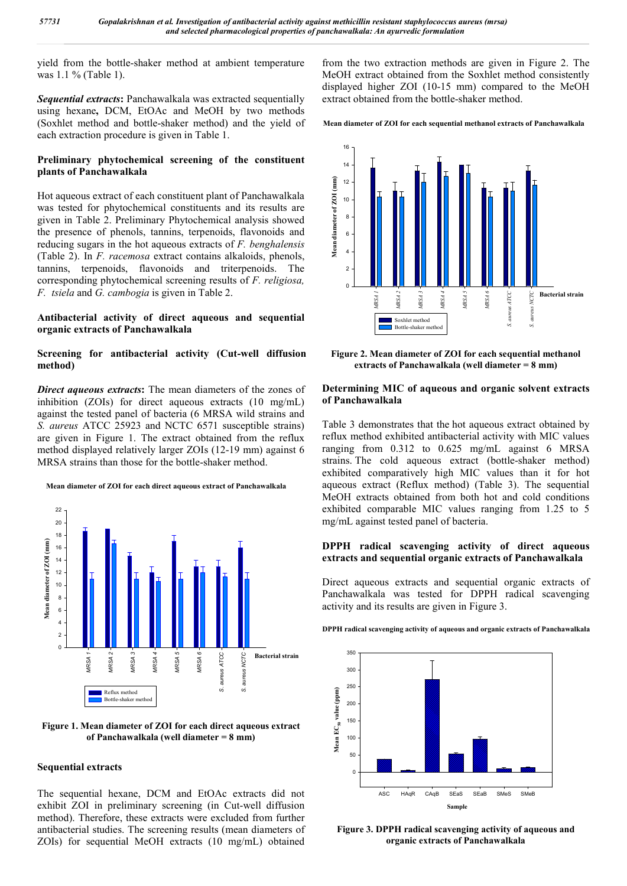yield from the bottle-shaker method at ambient temperature was 1.1 % (Table 1).

*Sequential extracts***:** Panchawalkala was extracted sequentially using hexane**,** DCM, EtOAc and MeOH by two methods (Soxhlet method and bottle-shaker method) and the yield of each extraction procedure is given in Table 1.

# **Preliminary phytochemical screening of the constituent plants of Panchawalkala**

Hot aqueous extract of each constituent plant of Panchawalkala was tested for phytochemical constituents and its results are given in Table 2. Preliminary Phytochemical analysis showed the presence of phenols, tannins, terpenoids, flavonoids and reducing sugars in the hot aqueous extracts of *F. benghalensis*  (Table 2). In *F. racemosa* extract contains alkaloids, phenols, tannins, terpenoids, flavonoids and triterpenoids. The corresponding phytochemical screening results of *F. religiosa, F. tsiela* and *G. cambogia* is given in Table 2.

# **Antibacterial activity of direct aqueous and sequential organic extracts of Panchawalkala**

# **Screening for antibacterial activity (Cut-well diffusion method)**

*Direct aqueous extracts***:** The mean diameters of the zones of inhibition (ZOIs) for direct aqueous extracts (10 mg/mL) against the tested panel of bacteria (6 MRSA wild strains and *S. aureus* ATCC 25923 and NCTC 6571 susceptible strains) are given in Figure 1. The extract obtained from the reflux method displayed relatively larger ZOIs (12-19 mm) against 6 MRSA strains than those for the bottle-shaker method.

#### **Mean diameter of ZOI for each direct aqueous extract of Panchawalkala**



#### **Figure 1. Mean diameter of ZOI for each direct aqueous extract of Panchawalkala (well diameter = 8 mm)**

#### **Sequential extracts**

The sequential hexane, DCM and EtOAc extracts did not exhibit ZOI in preliminary screening (in Cut-well diffusion method). Therefore, these extracts were excluded from further antibacterial studies. The screening results (mean diameters of ZOIs) for sequential MeOH extracts (10 mg/mL) obtained from the two extraction methods are given in Figure 2. The MeOH extract obtained from the Soxhlet method consistently displayed higher ZOI (10-15 mm) compared to the MeOH extract obtained from the bottle-shaker method.

#### **Mean diameter of ZOI for each sequential methanol extracts of Panchawalkala**



**Figure 2. Mean diameter of ZOI for each sequential methanol extracts of Panchawalkala (well diameter = 8 mm)**

#### **Determining MIC of aqueous and organic solvent extracts of Panchawalkala**

Table 3 demonstrates that the hot aqueous extract obtained by reflux method exhibited antibacterial activity with MIC values ranging from 0.312 to 0.625 mg/mL against 6 MRSA strains. The cold aqueous extract (bottle-shaker method) exhibited comparatively high MIC values than it for hot aqueous extract (Reflux method) (Table 3). The sequential MeOH extracts obtained from both hot and cold conditions exhibited comparable MIC values ranging from 1.25 to 5 mg/mL against tested panel of bacteria.

# **DPPH radical scavenging activity of direct aqueous extracts and sequential organic extracts of Panchawalkala**

Direct aqueous extracts and sequential organic extracts of Panchawalkala was tested for DPPH radical scavenging activity and its results are given in Figure 3.

**DPPH radical scavenging activity of aqueous and organic extracts of Panchawalkala**



**Figure 3. DPPH radical scavenging activity of aqueous and organic extracts of Panchawalkala**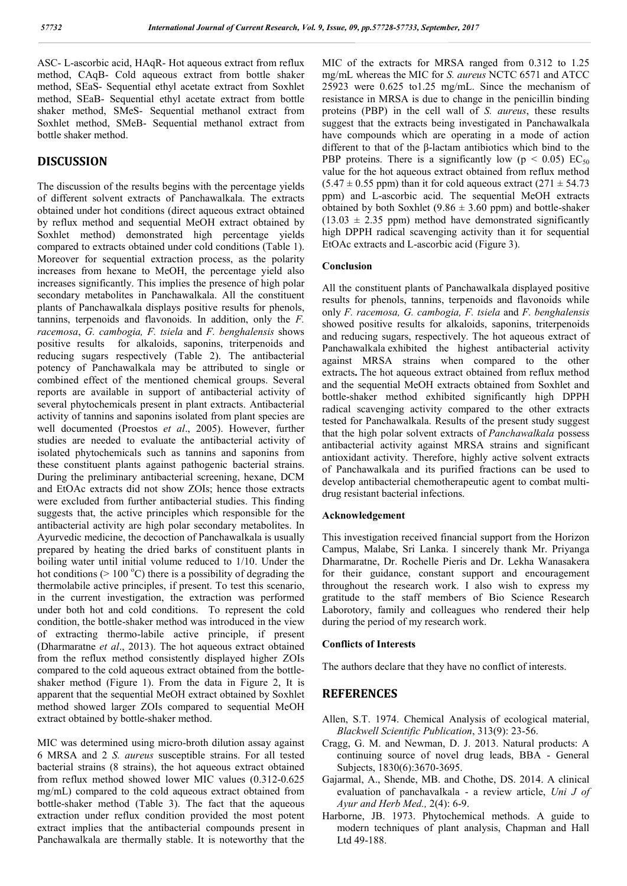ASC- L-ascorbic acid, HAqR- Hot aqueous extract from reflux method, CAqB- Cold aqueous extract from bottle shaker method, SEaS- Sequential ethyl acetate extract from Soxhlet method, SEaB- Sequential ethyl acetate extract from bottle shaker method, SMeS- Sequential methanol extract from Soxhlet method, SMeB- Sequential methanol extract from bottle shaker method.

# **DISCUSSION**

The discussion of the results begins with the percentage yields of different solvent extracts of Panchawalkala. The extracts obtained under hot conditions (direct aqueous extract obtained by reflux method and sequential MeOH extract obtained by Soxhlet method) demonstrated high percentage yields compared to extracts obtained under cold conditions (Table 1). Moreover for sequential extraction process, as the polarity increases from hexane to MeOH, the percentage yield also increases significantly. This implies the presence of high polar secondary metabolites in Panchawalkala. All the constituent plants of Panchawalkala displays positive results for phenols, tannins, terpenoids and flavonoids. In addition, only the *F. racemosa*, *G. cambogia, F. tsiela* and *F. benghalensis* shows positive resultsfor alkaloids, saponins, triterpenoids and reducing sugars respectively (Table 2). The antibacterial potency of Panchawalkala may be attributed to single or combined effect of the mentioned chemical groups. Several reports are available in support of antibacterial activity of several phytochemicals present in plant extracts. Antibacterial activity of tannins and saponins isolated from plant species are well documented (Proestos *et al*., 2005). However, further studies are needed to evaluate the antibacterial activity of isolated phytochemicals such as tannins and saponins from these constituent plants against pathogenic bacterial strains. During the preliminary antibacterial screening, hexane, DCM and EtOAc extracts did not show ZOIs; hence those extracts were excluded from further antibacterial studies. This finding suggests that, the active principles which responsible for the antibacterial activity are high polar secondary metabolites. In Ayurvedic medicine, the decoction of Panchawalkala is usually prepared by heating the dried barks of constituent plants in boiling water until initial volume reduced to 1/10. Under the hot conditions ( $> 100 °C$ ) there is a possibility of degrading the thermolabile active principles, if present. To test this scenario, in the current investigation, the extraction was performed under both hot and cold conditions. To represent the cold condition, the bottle-shaker method was introduced in the view of extracting thermo-labile active principle, if present (Dharmaratne *et al*., 2013). The hot aqueous extract obtained from the reflux method consistently displayed higher ZOIs compared to the cold aqueous extract obtained from the bottleshaker method (Figure 1). From the data in Figure 2, It is apparent that the sequential MeOH extract obtained by Soxhlet method showed larger ZOIs compared to sequential MeOH extract obtained by bottle-shaker method.

MIC was determined using micro-broth dilution assay against 6 MRSA and 2 *S. aureus* susceptible strains. For all tested bacterial strains (8 strains), the hot aqueous extract obtained from reflux method showed lower MIC values (0.312-0.625 mg/mL) compared to the cold aqueous extract obtained from bottle-shaker method (Table 3). The fact that the aqueous extraction under reflux condition provided the most potent extract implies that the antibacterial compounds present in Panchawalkala are thermally stable. It is noteworthy that the

MIC of the extracts for MRSA ranged from 0.312 to 1.25 mg/mL whereas the MIC for *S. aureus* NCTC 6571 and ATCC 25923 were 0.625 to1.25 mg/mL. Since the mechanism of resistance in MRSA is due to change in the penicillin binding proteins (PBP) in the cell wall of *S. aureus*, these results suggest that the extracts being investigated in Panchawalkala have compounds which are operating in a mode of action different to that of the β-lactam antibiotics which bind to the PBP proteins. There is a significantly low ( $p < 0.05$ ) EC<sub>50</sub> value for the hot aqueous extract obtained from reflux method  $(5.47 \pm 0.55$  ppm) than it for cold aqueous extract  $(271 \pm 54.73)$ ppm) and L-ascorbic acid. The sequential MeOH extracts obtained by both Soxhlet (9.86  $\pm$  3.60 ppm) and bottle-shaker  $(13.03 \pm 2.35$  ppm) method have demonstrated significantly high DPPH radical scavenging activity than it for sequential EtOAc extracts and L-ascorbic acid (Figure 3).

# **Conclusion**

All the constituent plants of Panchawalkala displayed positive results for phenols, tannins, terpenoids and flavonoids while only *F. racemosa, G. cambogia, F. tsiela* and *F. benghalensis* showed positive results for alkaloids, saponins, triterpenoids and reducing sugars, respectively. The hot aqueous extract of Panchawalkala exhibited the highest antibacterial activity against MRSA strains when compared to the other extracts**.** The hot aqueous extract obtained from reflux method and the sequential MeOH extracts obtained from Soxhlet and bottle-shaker method exhibited significantly high DPPH radical scavenging activity compared to the other extracts tested for Panchawalkala. Results of the present study suggest that the high polar solvent extracts of *Panchawalkala* possess antibacterial activity against MRSA strains and significant antioxidant activity. Therefore, highly active solvent extracts of Panchawalkala and its purified fractions can be used to develop antibacterial chemotherapeutic agent to combat multidrug resistant bacterial infections.

#### **Acknowledgement**

This investigation received financial support from the Horizon Campus, Malabe, Sri Lanka. I sincerely thank Mr. Priyanga Dharmaratne, Dr. Rochelle Pieris and Dr. Lekha Wanasakera for their guidance, constant support and encouragement throughout the research work. I also wish to express my gratitude to the staff members of Bio Science Research Laborotory, family and colleagues who rendered their help during the period of my research work.

#### **Conflicts of Interests**

The authors declare that they have no conflict of interests.

#### **REFERENCES**

- Allen, S.T. 1974. Chemical Analysis of ecological material, *Blackwell Scientific Publication*, 313(9): 23-56.
- Cragg, G. M. and Newman, D. J. 2013. Natural products: A continuing source of novel drug leads, BBA - General Subjects, 1830(6):3670-3695.
- Gajarmal, A., Shende, MB. and Chothe, DS. 2014. A clinical evaluation of panchavalkala - a review article, *Uni J of Ayur and Herb Med.,* 2(4): 6-9.
- Harborne, JB. 1973. Phytochemical methods. A guide to modern techniques of plant analysis, Chapman and Hall Ltd 49-188.